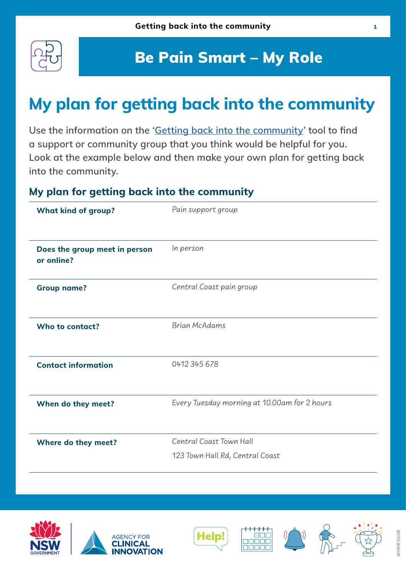

## Be Pain Smart – My Role

# **My plan for getting back into the community**

**Use the information on the '[Getting back into the community](https://aci.health.nsw.gov.au/chronic-pain/brain-injury/my-role/re-engaging-with-the-community)' tool to find a support or community group that you think would be helpful for you. Look at the example below and then make your own plan for getting back into the community.**

#### **My plan for getting back into the community**

| Pain support group                                         |
|------------------------------------------------------------|
| In person                                                  |
| Central Coast pain group                                   |
| <b>Brian McAdams</b>                                       |
| 0412 345 678                                               |
| Every Tuesday morning at 10.00am for 2 hours               |
| Central Coast Town Hall<br>123 Town Hall Rd, Central Coast |
|                                                            |